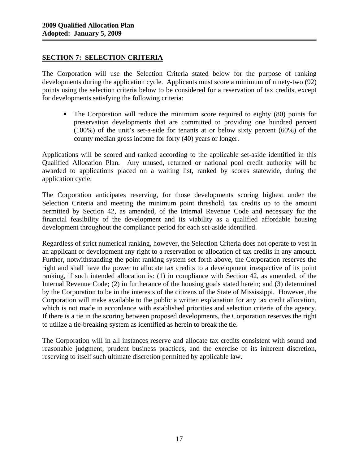# **SECTION 7: SELECTION CRITERIA**

The Corporation will use the Selection Criteria stated below for the purpose of ranking developments during the application cycle. Applicants must score a minimum of ninety-two (92) points using the selection criteria below to be considered for a reservation of tax credits, except for developments satisfying the following criteria:

 The Corporation will reduce the minimum score required to eighty (80) points for preservation developments that are committed to providing one hundred percent (100%) of the unit's set-a-side for tenants at or below sixty percent (60%) of the county median gross income for forty (40) years or longer.

Applications will be scored and ranked according to the applicable set-aside identified in this Qualified Allocation Plan. Any unused, returned or national pool credit authority will be awarded to applications placed on a waiting list, ranked by scores statewide, during the application cycle.

The Corporation anticipates reserving, for those developments scoring highest under the Selection Criteria and meeting the minimum point threshold, tax credits up to the amount permitted by Section 42, as amended, of the Internal Revenue Code and necessary for the financial feasibility of the development and its viability as a qualified affordable housing development throughout the compliance period for each set-aside identified.

Regardless of strict numerical ranking, however, the Selection Criteria does not operate to vest in an applicant or development any right to a reservation or allocation of tax credits in any amount. Further, notwithstanding the point ranking system set forth above, the Corporation reserves the right and shall have the power to allocate tax credits to a development irrespective of its point ranking, if such intended allocation is: (1) in compliance with Section 42, as amended, of the Internal Revenue Code; (2) in furtherance of the housing goals stated herein; and (3) determined by the Corporation to be in the interests of the citizens of the State of Mississippi. However, the Corporation will make available to the public a written explanation for any tax credit allocation, which is not made in accordance with established priorities and selection criteria of the agency. If there is a tie in the scoring between proposed developments, the Corporation reserves the right to utilize a tie-breaking system as identified as herein to break the tie.

The Corporation will in all instances reserve and allocate tax credits consistent with sound and reasonable judgment, prudent business practices, and the exercise of its inherent discretion, reserving to itself such ultimate discretion permitted by applicable law.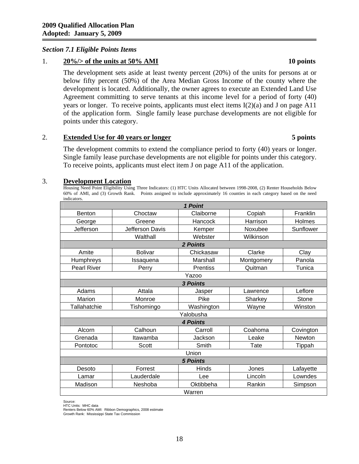# *Section 7.1 Eligible Points Items*

### 1. **20%/> of the units at 50% AMI 10 points**

The development sets aside at least twenty percent (20%) of the units for persons at or below fifty percent (50%) of the Area Median Gross Income of the county where the development is located. Additionally, the owner agrees to execute an Extended Land Use Agreement committing to serve tenants at this income level for a period of forty (40) years or longer. To receive points, applicants must elect items I(2)(a) and J on page A11 of the application form. Single family lease purchase developments are not eligible for points under this category.

### 2. **Extended Use for 40 years or longer 5 points**

The development commits to extend the compliance period to forty (40) years or longer. Single family lease purchase developments are not eligible for points under this category. To receive points, applicants must elect item J on page A11 of the application.

### 3. **Development Location**

Housing Need Point Eligibility Using Three Indicators: (1) HTC Units Allocated between 1998-2008, (2) Renter Households Below 60% of AMI, and (3) Growth Rank. Points assigned to include approximately 16 counties in each category based on the need indicators.

| 1 Point            |                 |                 |            |               |  |  |
|--------------------|-----------------|-----------------|------------|---------------|--|--|
| Benton             | Choctaw         | Claiborne       | Copiah     | Franklin      |  |  |
| George             | Greene          | Hancock         | Harrison   | Holmes        |  |  |
| Jefferson          | Jefferson Davis | Kemper          | Noxubee    | Sunflower     |  |  |
|                    | Walthall        | Webster         | Wilkinson  |               |  |  |
|                    | 2 Points        |                 |            |               |  |  |
| Amite              | <b>Bolivar</b>  | Chickasaw       | Clarke     | Clay          |  |  |
| Humphreys          | Issaquena       | Marshall        | Montgomery | Panola        |  |  |
| <b>Pearl River</b> | Perry           | <b>Prentiss</b> | Quitman    | Tunica        |  |  |
| Yazoo              |                 |                 |            |               |  |  |
| 3 Points           |                 |                 |            |               |  |  |
| Adams              | Attala          | Jasper          | Lawrence   | Leflore       |  |  |
| Marion             | Monroe          | Pike            | Sharkey    | Stone         |  |  |
| Tallahatchie       | Tishomingo      | Washington      | Wayne      | Winston       |  |  |
|                    |                 | Yalobusha       |            |               |  |  |
|                    | <b>4 Points</b> |                 |            |               |  |  |
| Alcorn             | Calhoun         | Carroll         | Coahoma    | Covington     |  |  |
| Grenada            | Itawamba        | Jackson         | Leake      | <b>Newton</b> |  |  |
| Pontotoc           | Scott           | Smith           | Tate       | Tippah        |  |  |
| Union              |                 |                 |            |               |  |  |
| <b>5 Points</b>    |                 |                 |            |               |  |  |
| Desoto             | Forrest         | <b>Hinds</b>    | Jones      | Lafayette     |  |  |
| Lamar              | Lauderdale      | Lee             | Lincoln    | Lowndes       |  |  |
| Madison            | Neshoba         | Oktibbeha       | Rankin     | Simpson       |  |  |
| Warren             |                 |                 |            |               |  |  |

Source:

HTC Units: MHC data

Renters Below 60% AMI: Ribbon Demographics, 2008 estimate Growth Rank: Mississippi State Tax Commission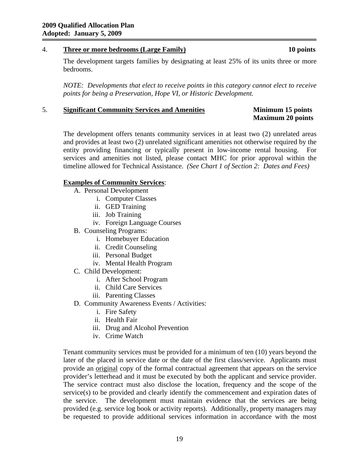# 4. **Three or more bedrooms (Large Family) 10 points**

The development targets families by designating at least 25% of its units three or more bedrooms.

*NOTE: Developments that elect to receive points in this category cannot elect to receive points for being a Preservation, Hope VI, or Historic Development.* 

# 5. **Significant Community Services and Amenities Minimum 15 points**

# **Maximum 20 points**

The development offers tenants community services in at least two (2) unrelated areas and provides at least two (2) unrelated significant amenities not otherwise required by the entity providing financing or typically present in low-income rental housing. For services and amenities not listed, please contact MHC for prior approval within the timeline allowed for Technical Assistance. *(See Chart 1 of Section 2: Dates and Fees)* 

# **Examples of Community Services**:

- A. Personal Development
	- i. Computer Classes
	- ii. GED Training
	- iii. Job Training
	- iv. Foreign Language Courses
- B. Counseling Programs:
	- i. Homebuyer Education
	- ii. Credit Counseling
	- iii. Personal Budget
	- iv. Mental Health Program
- C. Child Development:
	- i. After School Program
	- ii. Child Care Services
	- iii. Parenting Classes
- D. Community Awareness Events / Activities:
	- i. Fire Safety
	- ii. Health Fair
	- iii. Drug and Alcohol Prevention
	- iv. Crime Watch

Tenant community services must be provided for a minimum of ten (10) years beyond the later of the placed in service date or the date of the first class/service. Applicants must provide an original copy of the formal contractual agreement that appears on the service provider's letterhead and it must be executed by both the applicant and service provider. The service contract must also disclose the location, frequency and the scope of the service(s) to be provided and clearly identify the commencement and expiration dates of the service. The development must maintain evidence that the services are being provided (e.g. service log book or activity reports). Additionally, property managers may be requested to provide additional services information in accordance with the most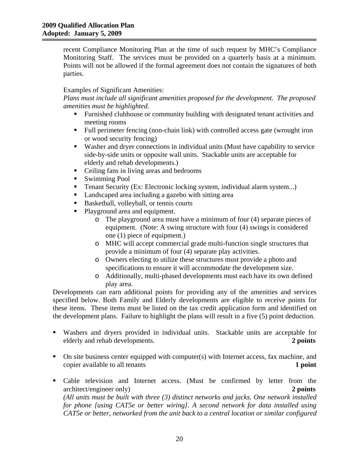recent Compliance Monitoring Plan at the time of such request by MHC's Compliance Monitoring Staff. The services must be provided on a quarterly basis at a minimum. Points will not be allowed if the formal agreement does not contain the signatures of both parties.

# Examples of Significant Amenities:

*Plans must include all significant amenities proposed for the development. The proposed amenities must be highlighted.* 

- Furnished clubhouse or community building with designated tenant activities and meeting rooms
- Full perimeter fencing (non-chain link) with controlled access gate (wrought iron or wood security fencing)
- Washer and dryer connections in individual units (Must have capability to service side-by-side units or opposite wall units. Stackable units are acceptable for elderly and rehab developments.)
- Ceiling fans in living areas and bedrooms
- Swimming Pool
- Tenant Security (Ex: Electronic locking system, individual alarm system...)
- Landscaped area including a gazebo with sitting area
- Basketball, volleyball, or tennis courts
- Playground area and equipment.
	- o The playground area must have a minimum of four (4) separate pieces of equipment. (Note: A swing structure with four (4) swings is considered one (1) piece of equipment.)
	- o MHC will accept commercial grade multi-function single structures that provide a minimum of four (4) separate play activities.
	- o Owners electing to utilize these structures must provide a photo and specifications to ensure it will accommodate the development size.
	- o Additionally, multi-phased developments must each have its own defined play area.

Developments can earn additional points for providing any of the amenities and services specified below. Both Family and Elderly developments are eligible to receive points for these items. These items must be listed on the tax credit application form and identified on the development plans. Failure to highlight the plans will result in a five (5) point deduction.

- Washers and dryers provided in individual units. Stackable units are acceptable for elderly and rehab developments. **2 points**
- $\blacksquare$  On site business center equipped with computer(s) with Internet access, fax machine, and copier available to all tenants **1 point**
- Cable television and Internet access. (Must be confirmed by letter from the architect/engineer only) **2 points** *(All units must be built with three (3) distinct networks and jacks. One network installed for phone [using CAT5e or better wiring]. A second network for data installed using CAT5e or better, networked from the unit back to a central location or similar configured*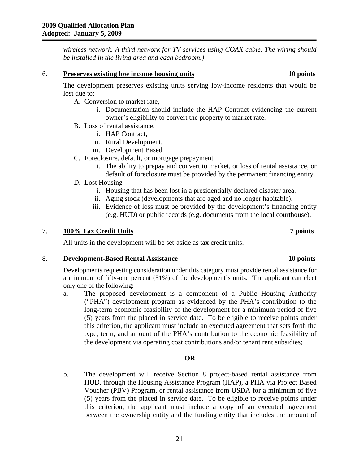*wireless network. A third network for TV services using COAX cable. The wiring should be installed in the living area and each bedroom.)* 

### 6. **Preserves existing low income housing units 10 points**

The development preserves existing units serving low-income residents that would be lost due to:

- A. Conversion to market rate,
	- i. Documentation should include the HAP Contract evidencing the current owner's eligibility to convert the property to market rate.
- B. Loss of rental assistance,
	- i. HAP Contract,
	- ii. Rural Development,
	- iii. Development Based
- C. Foreclosure, default, or mortgage prepayment
	- i. The ability to prepay and convert to market, or loss of rental assistance, or
	- default of foreclosure must be provided by the permanent financing entity.
- D. Lost Housing
	- i. Housing that has been lost in a presidentially declared disaster area.
	- ii. Aging stock (developments that are aged and no longer habitable).
	- iii. Evidence of loss must be provided by the development's financing entity (e.g. HUD) or public records (e.g. documents from the local courthouse).

### 7. **100% Tax Credit Units 7 points**

All units in the development will be set-aside as tax credit units.

### 8. **Development-Based Rental Assistance 10 points**

Developments requesting consideration under this category must provide rental assistance for a minimum of fifty-one percent (51%) of the development's units. The applicant can elect only one of the following:

a. The proposed development is a component of a Public Housing Authority ("PHA") development program as evidenced by the PHA's contribution to the long-term economic feasibility of the development for a minimum period of five (5) years from the placed in service date. To be eligible to receive points under this criterion, the applicant must include an executed agreement that sets forth the type, term, and amount of the PHA's contribution to the economic feasibility of the development via operating cost contributions and/or tenant rent subsidies;

# **OR**

b. The development will receive Section 8 project-based rental assistance from HUD, through the Housing Assistance Program (HAP), a PHA via Project Based Voucher (PBV) Program, or rental assistance from USDA for a minimum of five (5) years from the placed in service date. To be eligible to receive points under this criterion, the applicant must include a copy of an executed agreement between the ownership entity and the funding entity that includes the amount of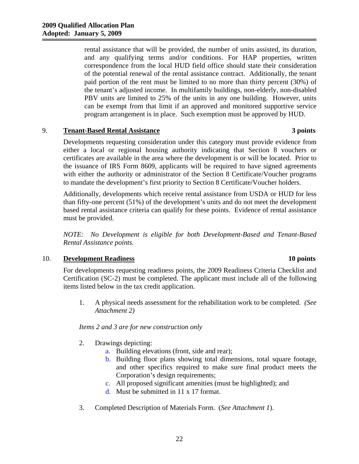rental assistance that will be provided, the number of units assisted, its duration, and any qualifying terms and/or conditions. For HAP properties, written correspondence from the local HUD field office should state their consideration of the potential renewal of the rental assistance contract. Additionally, the tenant paid portion of the rent must be limited to no more than thirty percent (30%) of the tenant's adjusted income. In multifamily buildings, non-elderly, non-disabled PBV units are limited to 25% of the units in any one building. However, units can be exempt from that limit if an approved and monitored supportive service program arrangement is in place. Such exemption must be approved by HUD.

# 9. **Tenant-Based Rental Assistance 3 points**

Developments requesting consideration under this category must provide evidence from either a local or regional housing authority indicating that Section 8 vouchers or certificates are available in the area where the development is or will be located. Prior to the issuance of IRS Form 8609, applicants will be required to have signed agreements with either the authority or administrator of the Section 8 Certificate/Voucher programs to mandate the development's first priority to Section 8 Certificate/Voucher holders.

Additionally, developments which receive rental assistance from USDA or HUD for less than fifty-one percent (51%) of the development's units and do not meet the development based rental assistance criteria can qualify for these points. Evidence of rental assistance must be provided.

*NOTE: No Development is eligible for both Development-Based and Tenant-Based Rental Assistance points.* 

# 10. **Development Readiness 10 points**

For developments requesting readiness points, the 2009 Readiness Criteria Checklist and Certification (SC-2) must be completed. The applicant must include all of the following items listed below in the tax credit application.

1. A physical needs assessment for the rehabilitation work to be completed. *(See Attachment 2)*

# *Items 2 and 3 are for new construction only*

- 2. Drawings depicting:
	- a. Building elevations (front, side and rear);
	- b. Building floor plans showing total dimensions, total square footage, and other specifics required to make sure final product meets the Corporation's design requirements;
	- c. All proposed significant amenities (must be highlighted); and
	- d. Must be submitted in 11 x 17 format.
- 3. Completed Description of Materials Form. (*See Attachment 1*).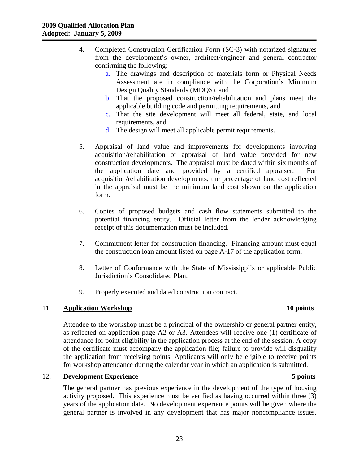- 4. Completed Construction Certification Form (SC-3) with notarized signatures from the development's owner, architect/engineer and general contractor confirming the following:
	- a. The drawings and description of materials form or Physical Needs Assessment are in compliance with the Corporation's Minimum Design Quality Standards (MDQS), and
	- b. That the proposed construction/rehabilitation and plans meet the applicable building code and permitting requirements, and
	- c. That the site development will meet all federal, state, and local requirements, and
	- d. The design will meet all applicable permit requirements.
- 5. Appraisal of land value and improvements for developments involving acquisition/rehabilitation or appraisal of land value provided for new construction developments. The appraisal must be dated within six months of the application date and provided by a certified appraiser. For acquisition/rehabilitation developments, the percentage of land cost reflected in the appraisal must be the minimum land cost shown on the application form.
- 6. Copies of proposed budgets and cash flow statements submitted to the potential financing entity. Official letter from the lender acknowledging receipt of this documentation must be included.
- 7. Commitment letter for construction financing. Financing amount must equal the construction loan amount listed on page A-17 of the application form.
- 8. Letter of Conformance with the State of Mississippi's or applicable Public Jurisdiction's Consolidated Plan.
- 9. Properly executed and dated construction contract.

# 11. **Application Workshop 10 points**

Attendee to the workshop must be a principal of the ownership or general partner entity, as reflected on application page A2 or A3. Attendees will receive one (1) certificate of attendance for point eligibility in the application process at the end of the session. A copy of the certificate must accompany the application file; failure to provide will disqualify the application from receiving points. Applicants will only be eligible to receive points for workshop attendance during the calendar year in which an application is submitted.

# 12. **Development Experience 5 points**

# The general partner has previous experience in the development of the type of housing activity proposed. This experience must be verified as having occurred within three (3) years of the application date. No development experience points will be given where the general partner is involved in any development that has major noncompliance issues.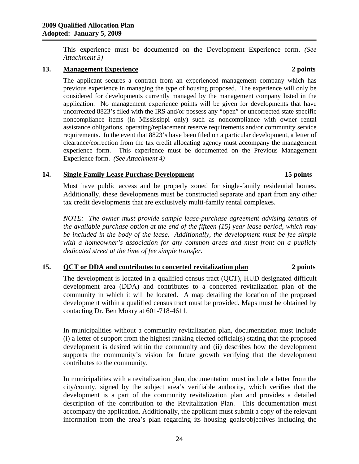This experience must be documented on the Development Experience form. *(See Attachment 3)* 

# **13. Management Experience 2 points**

The applicant secures a contract from an experienced management company which has previous experience in managing the type of housing proposed. The experience will only be considered for developments currently managed by the management company listed in the application. No management experience points will be given for developments that have uncorrected 8823's filed with the IRS and/or possess any "open" or uncorrected state specific noncompliance items (in Mississippi only) such as noncompliance with owner rental assistance obligations, operating/replacement reserve requirements and/or community service requirements. In the event that 8823's have been filed on a particular development, a letter of clearance/correction from the tax credit allocating agency must accompany the management experience form. This experience must be documented on the Previous Management Experience form. *(See Attachment 4)*

# **14. Single Family Lease Purchase Development 15 points**

Must have public access and be properly zoned for single-family residential homes. Additionally, these developments must be constructed separate and apart from any other tax credit developments that are exclusively multi-family rental complexes.

*NOTE: The owner must provide sample lease-purchase agreement advising tenants of the available purchase option at the end of the fifteen (15) year lease period, which may be included in the body of the lease. Additionally, the development must be fee simple with a homeowner's association for any common areas and must front on a publicly dedicated street at the time of fee simple transfer.* 

# **15. QCT or DDA and contributes to concerted revitalization plan 2 points**

The development is located in a qualified census tract (QCT), HUD designated difficult development area (DDA) and contributes to a concerted revitalization plan of the community in which it will be located. A map detailing the location of the proposed development within a qualified census tract must be provided. Maps must be obtained by contacting Dr. Ben Mokry at 601-718-4611.

In municipalities without a community revitalization plan, documentation must include (i) a letter of support from the highest ranking elected official(s) stating that the proposed development is desired within the community and (ii) describes how the development supports the community's vision for future growth verifying that the development contributes to the community.

In municipalities with a revitalization plan, documentation must include a letter from the city/county, signed by the subject area's verifiable authority, which verifies that the development is a part of the community revitalization plan and provides a detailed description of the contribution to the Revitalization Plan. This documentation must accompany the application. Additionally, the applicant must submit a copy of the relevant information from the area's plan regarding its housing goals/objectives including the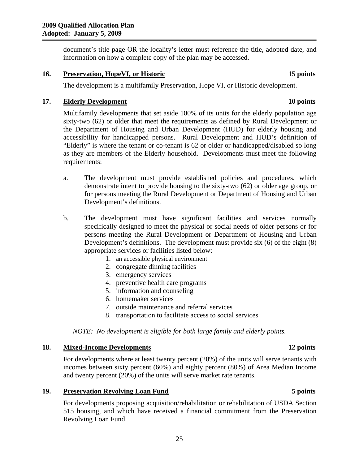document's title page OR the locality's letter must reference the title, adopted date, and information on how a complete copy of the plan may be accessed.

**16. Preservation, HopeVI, or Historic 15 points**

# The development is a multifamily Preservation, Hope VI, or Historic development.

# **17. Elderly Development 10 points**

Multifamily developments that set aside 100% of its units for the elderly population age sixty-two (62) or older that meet the requirements as defined by Rural Development or the Department of Housing and Urban Development (HUD) for elderly housing and accessibility for handicapped persons. Rural Development and HUD's definition of "Elderly" is where the tenant or co-tenant is 62 or older or handicapped/disabled so long as they are members of the Elderly household. Developments must meet the following requirements:

- a. The development must provide established policies and procedures, which demonstrate intent to provide housing to the sixty-two (62) or older age group, or for persons meeting the Rural Development or Department of Housing and Urban Development's definitions.
- b. The development must have significant facilities and services normally specifically designed to meet the physical or social needs of older persons or for persons meeting the Rural Development or Department of Housing and Urban Development's definitions. The development must provide six (6) of the eight (8) appropriate services or facilities listed below:
	- 1. an accessible physical environment
	- 2. congregate dinning facilities
	- 3. emergency services
	- 4. preventive health care programs
	- 5. information and counseling
	- 6. homemaker services
	- 7. outside maintenance and referral services
	- 8. transportation to facilitate access to social services

*NOTE: No development is eligible for both large family and elderly points.* 

### **18. Mixed-Income Developments 12 points**

For developments where at least twenty percent (20%) of the units will serve tenants with incomes between sixty percent (60%) and eighty percent (80%) of Area Median Income and twenty percent (20%) of the units will serve market rate tenants.

### **19. Preservation Revolving Loan Fund 5 points**

For developments proposing acquisition/rehabilitation or rehabilitation of USDA Section 515 housing, and which have received a financial commitment from the Preservation Revolving Loan Fund.